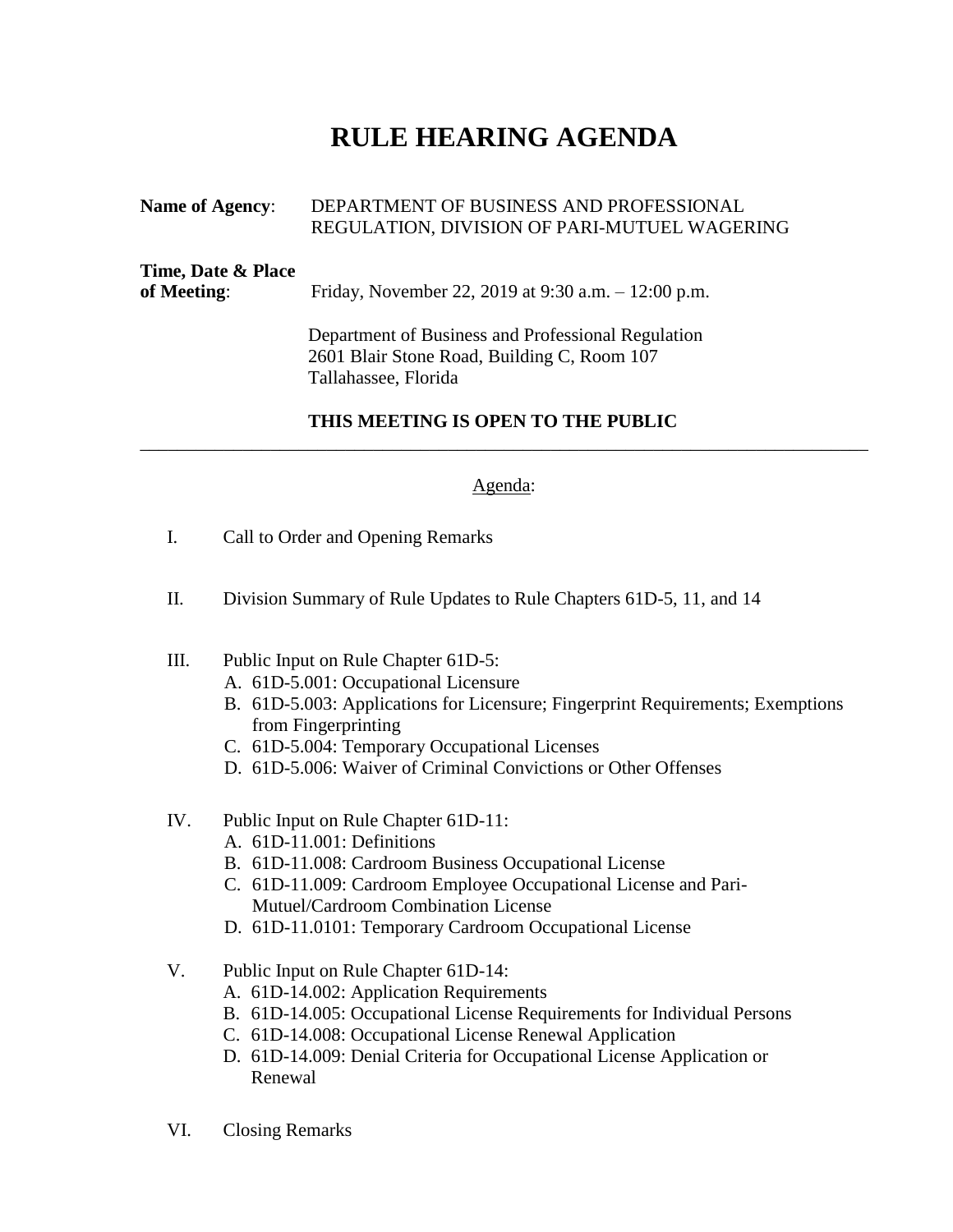## **RULE HEARING AGENDA**

| <b>Name of Agency:</b>            | DEPARTMENT OF BUSINESS AND PROFESSIONAL<br>REGULATION, DIVISION OF PARI-MUTUEL WAGERING                                   |
|-----------------------------------|---------------------------------------------------------------------------------------------------------------------------|
| Time, Date & Place<br>of Meeting: | Friday, November 22, 2019 at 9:30 a.m. $-12:00$ p.m.                                                                      |
|                                   | Department of Business and Professional Regulation<br>2601 Blair Stone Road, Building C, Room 107<br>Tallahassee, Florida |

## **THIS MEETING IS OPEN TO THE PUBLIC**

## Agenda:

\_\_\_\_\_\_\_\_\_\_\_\_\_\_\_\_\_\_\_\_\_\_\_\_\_\_\_\_\_\_\_\_\_\_\_\_\_\_\_\_\_\_\_\_\_\_\_\_\_\_\_\_\_\_\_\_\_\_\_\_\_\_\_\_\_\_\_\_\_\_\_\_\_\_\_\_\_\_

- I. Call to Order and Opening Remarks
- II. Division Summary of Rule Updates to Rule Chapters 61D-5, 11, and 14
- III. Public Input on Rule Chapter 61D-5:
	- A. 61D-5.001: Occupational Licensure
	- B. 61D-5.003: Applications for Licensure; Fingerprint Requirements; Exemptions from Fingerprinting
	- C. 61D-5.004: Temporary Occupational Licenses
	- D. 61D-5.006: Waiver of Criminal Convictions or Other Offenses
- IV. Public Input on Rule Chapter 61D-11:
	- A. 61D-11.001: Definitions
	- B. 61D-11.008: Cardroom Business Occupational License
	- C. 61D-11.009: Cardroom Employee Occupational License and Pari-Mutuel/Cardroom Combination License
	- D. 61D-11.0101: Temporary Cardroom Occupational License
- V. Public Input on Rule Chapter 61D-14:
	- A. 61D-14.002: Application Requirements
	- B. 61D-14.005: Occupational License Requirements for Individual Persons
	- C. 61D-14.008: Occupational License Renewal Application
	- D. 61D-14.009: Denial Criteria for Occupational License Application or Renewal
- VI. Closing Remarks